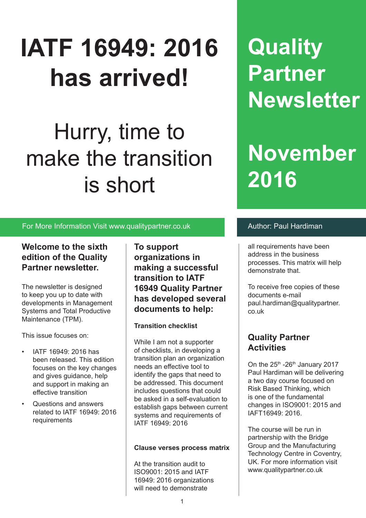# **IATF 16949: 2016 has arrived!**

# Hurry, time to make the transition is short

### For More Information Visit www.qualitypartner.co.uk **Author: Paul Hardiman**

### **Welcome to the sixth edition of the Quality Partner newsletter.**

The newsletter is designed to keep you up to date with developments in Management Systems and Total Productive Maintenance (TPM).

This issue focuses on:

- IATF 16949: 2016 has been released. This edition focuses on the key changes and gives guidance, help and support in making an effective transition
- Questions and answers related to IATF 16949: 2016 requirements

**To support organizations in making a successful transition to IATF 16949 Quality Partner has developed several documents to help:**

#### **Transition checklist**

While I am not a supporter of checklists, in developing a transition plan an organization needs an effective tool to identify the gaps that need to be addressed. This document includes questions that could be asked in a self-evaluation to establish gaps between current systems and requirements of IATF 16949: 2016

#### **Clause verses process matrix**

At the transition audit to ISO9001: 2015 and IATF 16949: 2016 organizations will need to demonstrate

**Quality Partner Newsletter**

# **November 2016**

all requirements have been address in the business processes. This matrix will help demonstrate that.

To receive free copies of these documents e-mail paul.hardiman@qualitypartner. co.uk

## **Quality Partner Activities**

On the  $25<sup>th</sup> - 26<sup>th</sup>$  January 2017 Paul Hardiman will be delivering a two day course focused on Risk Based Thinking, which is one of the fundamental changes in ISO9001: 2015 and IAFT16949: 2016.

The course will be run in partnership with the Bridge Group and the Manufacturing Technology Centre in Coventry, UK. For more information visit www.qualitypartner.co.uk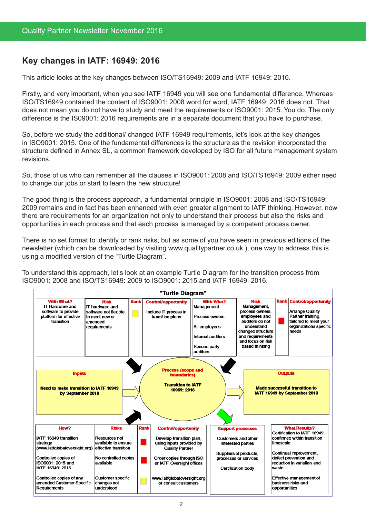# **Key changes in IATF: 16949: 2016**

This article looks at the key changes between ISO/TS16949: 2009 and IATF 16949: 2016.

Firstly, and very important, when you see IATF 16949 you will see one fundamental difference. Whereas ISO/TS16949 contained the content of ISO9001: 2008 word for word, IATF 16949: 2016 does not. That does not mean you do not have to study and meet the requirements or ISO9001: 2015. You do. The only difference is the IS09001: 2016 requirements are in a separate document that you have to purchase.

So, before we study the additional/ changed IATF 16949 requirements, let's look at the key changes in ISO9001: 2015. One of the fundamental differences is the structure as the revision incorporated the structure defined in Annex SL, a common framework developed by ISO for all future management system revisions.

So, those of us who can remember all the clauses in ISO9001: 2008 and ISO/TS16949: 2009 either need to change our jobs or start to learn the new structure!

The good thing is the process approach, a fundamental principle in ISO9001: 2008 and ISO/TS16949: 2009 remains and in fact has been enhanced with even greater alignment to IATF thinking. However, now there are requirements for an organization not only to understand their process but also the risks and opportunities in each process and that each process is managed by a competent process owner.

There is no set format to identify or rank risks, but as some of you have seen in previous editions of the newsletter (which can be downloaded by visiting www.qualitypartner.co.uk ), one way to address this is using a modified version of the "Turtle Diagram".

To understand this approach, let's look at an example Turtle Diagram for the transition process from ISO9001: 2008 and ISO/TS16949: 2009 to ISO9001: 2015 and IATF 16949: 2016.

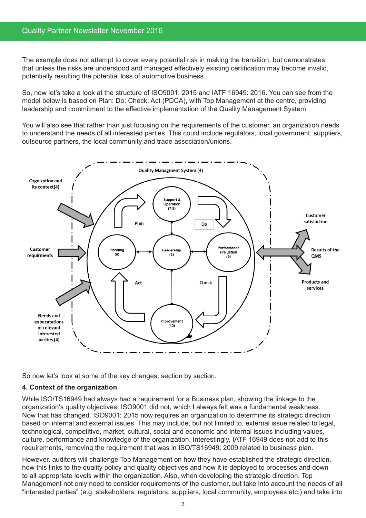#### Quality Partner Newsletter November 2016

The example does not attempt to cover every potential risk in making the transition, but demonstrates that unless the risks are understood and managed effectively existing certification may become invalid, potentially resulting the potential loss of automotive business.

So, now let's take a look at the structure of ISO9001: 2015 and IATF 16949: 2016. You can see from the model below is based on Plan: Do: Check: Act (PDCA), with Top Management at the centre, providing leadership and commitment to the effective implementation of the Quality Management System.

You will also see that rather than just focusing on the requirements of the customer, an organization needs to understand the needs of all interested parties. This could include regulators, local government, suppliers, outsource partners, the local community and trade association/unions.



So now let's look at some of the key changes, section by section.

#### **4. Context of the organization**

While ISO/TS16949 had always had a requirement for a Business plan, showing the linkage to the organization's quality objectives, ISO9001 did not, which I always felt was a fundamental weakness. Now that has changed. ISO9001: 2015 now requires an organization to determine its strategic direction based on internal and external issues. This may include, but not limited to, external issue related to legal, technological, competitive, market, cultural, social and economic and internal issues including values, culture, performance and knowledge of the organization. Interestingly, IATF 16949 does not add to this requirements, removing the requirement that was in ISO/TS16949: 2009 related to business plan.

However, auditors will challenge Top Management on how they have established the strategic direction, how this links to the quality policy and quality objectives and how it is deployed to processes and down to all appropriate levels within the organization. Also, when developing the strategic direction, Top Management not only need to consider requirements of the customer, but take into account the needs of all "interested parties" (e.g. stakeholders, regulators, suppliers, local community, employees etc.) and take into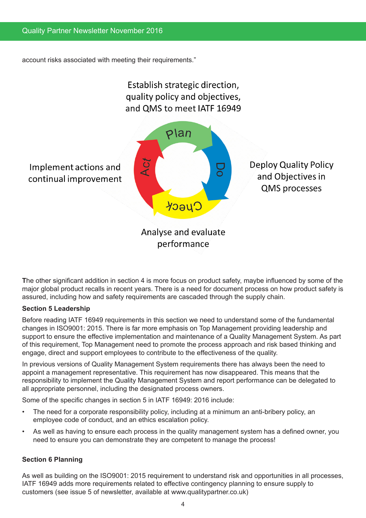account risks associated with meeting their requirements."



**T**he other significant addition in section 4 is more focus on product safety, maybe influenced by some of the major global product recalls in recent years. There is a need for document process on how product safety is assured, including how and safety requirements are cascaded through the supply chain.

#### **Section 5 Leadership**

Before reading IATF 16949 requirements in this section we need to understand some of the fundamental changes in ISO9001: 2015. There is far more emphasis on Top Management providing leadership and support to ensure the effective implementation and maintenance of a Quality Management System. As part of this requirement, Top Management need to promote the process approach and risk based thinking and engage, direct and support employees to contribute to the effectiveness of the quality.

In previous versions of Quality Management System requirements there has always been the need to appoint a management representative. This requirement has now disappeared. This means that the responsibility to implement the Quality Management System and report performance can be delegated to all appropriate personnel, including the designated process owners.

Some of the specific changes in section 5 in IATF 16949: 2016 include:

- The need for a corporate responsibility policy, including at a minimum an anti-bribery policy, an employee code of conduct, and an ethics escalation policy.
- As well as having to ensure each process in the quality management system has a defined owner, you need to ensure you can demonstrate they are competent to manage the process!

#### **Section 6 Planning**

As well as building on the ISO9001: 2015 requirement to understand risk and opportunities in all processes, IATF 16949 adds more requirements related to effective contingency planning to ensure supply to customers (see issue 5 of newsletter, available at www.qualitypartner.co.uk)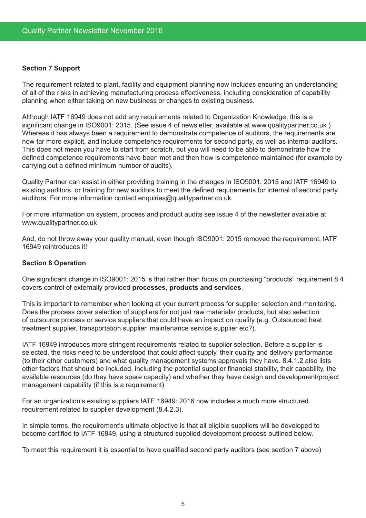#### **Section 7 Support**

The requirement related to plant, facility and equipment planning now includes ensuring an understanding of all of the risks in achieving manufacturing process effectiveness, including consideration of capability planning when either taking on new business or changes to existing business.

Although IATF 16949 does not add any requirements related to Organization Knowledge, this is a significant change in ISO9001: 2015. (See issue 4 of newsletter, available at www.qualitypartner.co.uk ) Whereas it has always been a requirement to demonstrate competence of auditors, the requirements are now far more explicit, and include competence requirements for second party, as well as internal auditors. This does not mean you have to start from scratch, but you will need to be able to demonstrate how the defined competence requirements have been met and then how is competence maintained (for example by carrying out a defined minimum number of audits).

Quality Partner can assist in either providing training in the changes in ISO9001: 2015 and IATF 16949 to existing auditors, or training for new auditors to meet the defined requirements for internal of second party auditors. For more information contact enquiries@qualitypartner.co.uk

For more information on system, process and product audits see issue 4 of the newsletter available at www.qualitypartner.co.uk

And, do not throw away your quality manual, even though ISO9001: 2015 removed the requirement, IATF 16949 reintroduces it!

#### **Section 8 Operation**

One significant change in ISO9001: 2015 is that rather than focus on purchasing "products" requirement 8.4 covers control of externally provided **processes, products and services**.

This is important to remember when looking at your current process for supplier selection and monitoring. Does the process cover selection of suppliers for not just raw materials/ products, but also selection of outsource process or service suppliers that could have an impact on quality (e.g. Outsourced heat treatment supplier, transportation supplier, maintenance service supplier etc?).

IATF 16949 introduces more stringent requirements related to supplier selection. Before a supplier is selected, the risks need to be understood that could affect supply, their quality and delivery performance (to their other customers) and what quality management systems approvals they have. 8.4.1.2 also lists other factors that should be included, including the potential supplier financial stability, their capability, the available resources (do they have spare capacity) and whether they have design and development/project management capability (if this is a requirement)

For an organization's existing suppliers IATF 16949: 2016 now includes a much more structured requirement related to supplier development (8.4.2.3).

In simple terms, the requirement's ultimate objective is that all eligible suppliers will be developed to become certified to IATF 16949, using a structured supplied development process outlined below.

To meet this requirement it is essential to have qualified second party auditors (see section 7 above)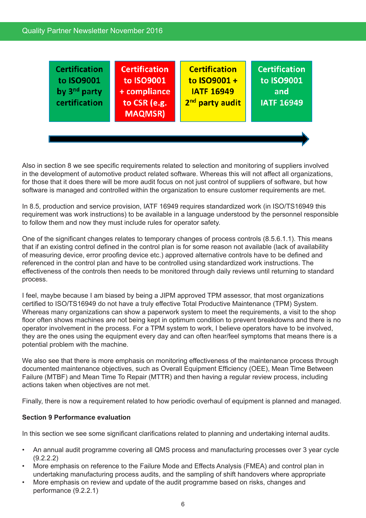#### Quality Partner Newsletter November 2016

**Certification Certification Certification Certification** to ISO9001 to ISO9001 to  $ISO9001 +$ to ISO9001 by 3<sup>nd</sup> party **IATF 16949** + compliance and 2<sup>nd</sup> party audit certification to CSR (e.g. **IATF 16949 MAQMSR)** 

Also in section 8 we see specific requirements related to selection and monitoring of suppliers involved in the development of automotive product related software. Whereas this will not affect all organizations, for those that it does there will be more audit focus on not just control of suppliers of software, but how software is managed and controlled within the organization to ensure customer requirements are met.

In 8.5, production and service provision, IATF 16949 requires standardized work (in ISO/TS16949 this requirement was work instructions) to be available in a language understood by the personnel responsible to follow them and now they must include rules for operator safety.

One of the significant changes relates to temporary changes of process controls (8.5.6.1.1). This means that if an existing control defined in the control plan is for some reason not available (lack of availability of measuring device, error proofing device etc.) approved alternative controls have to be defined and referenced in the control plan and have to be controlled using standardized work instructions. The effectiveness of the controls then needs to be monitored through daily reviews until returning to standard process.

I feel, maybe because I am biased by being a JIPM approved TPM assessor, that most organizations certified to ISO/TS16949 do not have a truly effective Total Productive Maintenance (TPM) System. Whereas many organizations can show a paperwork system to meet the requirements, a visit to the shop floor often shows machines are not being kept in optimum condition to prevent breakdowns and there is no operator involvement in the process. For a TPM system to work, I believe operators have to be involved, they are the ones using the equipment every day and can often hear/feel symptoms that means there is a potential problem with the machine.

We also see that there is more emphasis on monitoring effectiveness of the maintenance process through documented maintenance objectives, such as Overall Equipment Efficiency (OEE), Mean Time Between Failure (MTBF) and Mean Time To Repair (MTTR) and then having a regular review process, including actions taken when objectives are not met.

Finally, there is now a requirement related to how periodic overhaul of equipment is planned and managed.

#### **Section 9 Performance evaluation**

In this section we see some significant clarifications related to planning and undertaking internal audits.

- An annual audit programme covering all QMS process and manufacturing processes over 3 year cycle (9.2.2.2)
- More emphasis on reference to the Failure Mode and Effects Analysis (FMEA) and control plan in undertaking manufacturing process audits, and the sampling of shift handovers where appropriate
- More emphasis on review and update of the audit programme based on risks, changes and performance (9.2.2.1)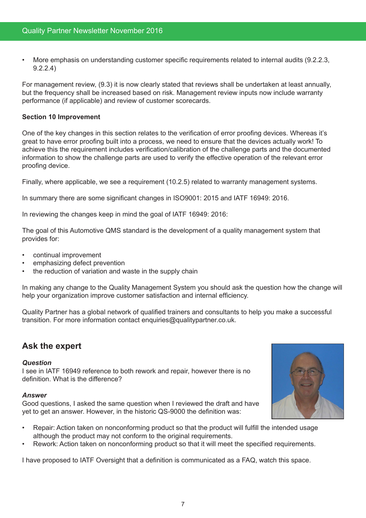• More emphasis on understanding customer specific requirements related to internal audits (9.2.2.3, 9.2.2.4)

For management review, (9.3) it is now clearly stated that reviews shall be undertaken at least annually, but the frequency shall be increased based on risk. Management review inputs now include warranty performance (if applicable) and review of customer scorecards.

#### **Section 10 Improvement**

One of the key changes in this section relates to the verification of error proofing devices. Whereas it's great to have error proofing built into a process, we need to ensure that the devices actually work! To achieve this the requirement includes verification/calibration of the challenge parts and the documented information to show the challenge parts are used to verify the effective operation of the relevant error proofing device.

Finally, where applicable, we see a requirement (10.2.5) related to warranty management systems.

In summary there are some significant changes in ISO9001: 2015 and IATF 16949: 2016.

In reviewing the changes keep in mind the goal of IATF 16949: 2016:

The goal of this Automotive QMS standard is the development of a quality management system that provides for:

- continual improvement
- emphasizing defect prevention
- the reduction of variation and waste in the supply chain

In making any change to the Quality Management System you should ask the question how the change will help your organization improve customer satisfaction and internal efficiency.

Quality Partner has a global network of qualified trainers and consultants to help you make a successful transition. For more information contact enquiries@qualitypartner.co.uk.

### **Ask the expert**

#### *Question*

I see in IATF 16949 reference to both rework and repair, however there is no definition. What is the difference?

#### *Answer*

Good questions, I asked the same question when I reviewed the draft and have yet to get an answer. However, in the historic QS-9000 the definition was:



- Repair: Action taken on nonconforming product so that the product will fulfill the intended usage although the product may not conform to the original requirements.
- Rework: Action taken on nonconforming product so that it will meet the specified requirements.

I have proposed to IATF Oversight that a definition is communicated as a FAQ, watch this space.